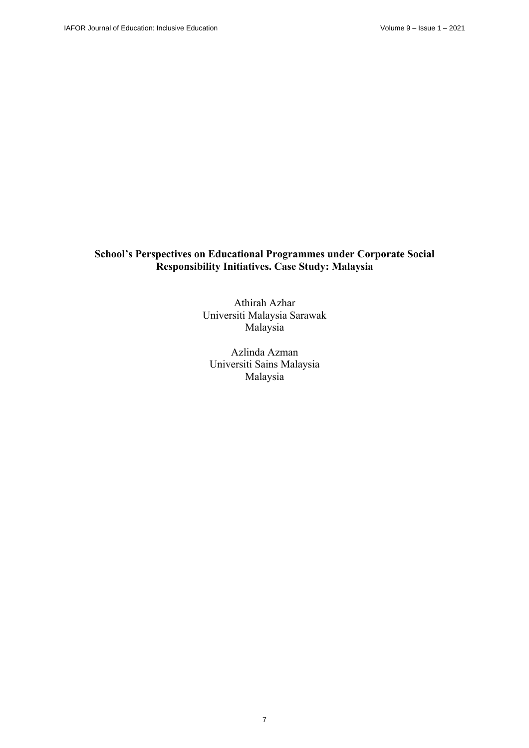# **School's Perspectives on Educational Programmes under Corporate Social Responsibility Initiatives. Case Study: Malaysia**

Athirah Azhar Universiti Malaysia Sarawak Malaysia

Azlinda Azman Universiti Sains Malaysia Malaysia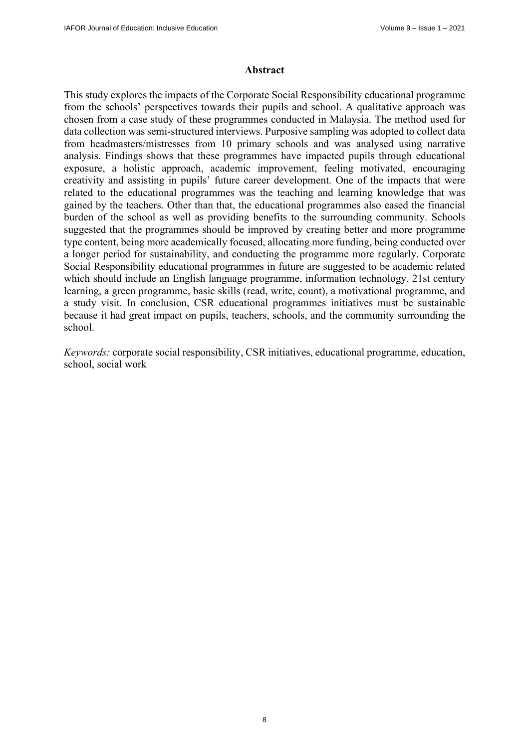# **Abstract**

This study explores the impacts of the Corporate Social Responsibility educational programme from the schools' perspectives towards their pupils and school. A qualitative approach was chosen from a case study of these programmes conducted in Malaysia. The method used for data collection was semi-structured interviews. Purposive sampling was adopted to collect data from headmasters/mistresses from 10 primary schools and was analysed using narrative analysis. Findings shows that these programmes have impacted pupils through educational exposure, a holistic approach, academic improvement, feeling motivated, encouraging creativity and assisting in pupils' future career development. One of the impacts that were related to the educational programmes was the teaching and learning knowledge that was gained by the teachers. Other than that, the educational programmes also eased the financial burden of the school as well as providing benefits to the surrounding community. Schools suggested that the programmes should be improved by creating better and more programme type content, being more academically focused, allocating more funding, being conducted over a longer period for sustainability, and conducting the programme more regularly. Corporate Social Responsibility educational programmes in future are suggested to be academic related which should include an English language programme, information technology, 21st century learning, a green programme, basic skills (read, write, count), a motivational programme, and a study visit. In conclusion, CSR educational programmes initiatives must be sustainable because it had great impact on pupils, teachers, schools, and the community surrounding the school.

*Keywords:* corporate social responsibility, CSR initiatives, educational programme, education, school, social work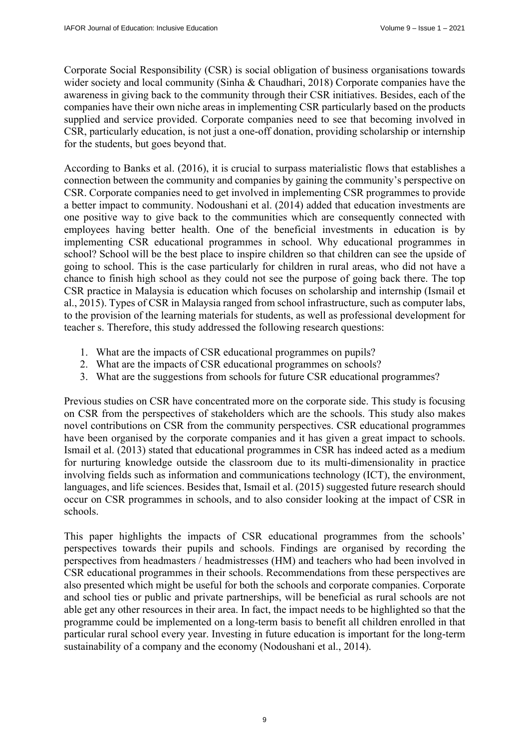Corporate Social Responsibility (CSR) is social obligation of business organisations towards wider society and local community (Sinha & Chaudhari, 2018) Corporate companies have the awareness in giving back to the community through their CSR initiatives. Besides, each of the companies have their own niche areas in implementing CSR particularly based on the products supplied and service provided. Corporate companies need to see that becoming involved in CSR, particularly education, is not just a one-off donation, providing scholarship or internship for the students, but goes beyond that.

According to Banks et al. (2016), it is crucial to surpass materialistic flows that establishes a connection between the community and companies by gaining the community's perspective on CSR. Corporate companies need to get involved in implementing CSR programmes to provide a better impact to community. Nodoushani et al. (2014) added that education investments are one positive way to give back to the communities which are consequently connected with employees having better health. One of the beneficial investments in education is by implementing CSR educational programmes in school. Why educational programmes in school? School will be the best place to inspire children so that children can see the upside of going to school. This is the case particularly for children in rural areas, who did not have a chance to finish high school as they could not see the purpose of going back there. The top CSR practice in Malaysia is education which focuses on scholarship and internship (Ismail et al., 2015). Types of CSR in Malaysia ranged from school infrastructure, such as computer labs, to the provision of the learning materials for students, as well as professional development for teacher s. Therefore, this study addressed the following research questions:

- 1. What are the impacts of CSR educational programmes on pupils?
- 2. What are the impacts of CSR educational programmes on schools?
- 3. What are the suggestions from schools for future CSR educational programmes?

Previous studies on CSR have concentrated more on the corporate side. This study is focusing on CSR from the perspectives of stakeholders which are the schools. This study also makes novel contributions on CSR from the community perspectives. CSR educational programmes have been organised by the corporate companies and it has given a great impact to schools. Ismail et al. (2013) stated that educational programmes in CSR has indeed acted as a medium for nurturing knowledge outside the classroom due to its multi-dimensionality in practice involving fields such as information and communications technology (ICT), the environment, languages, and life sciences. Besides that, Ismail et al. (2015) suggested future research should occur on CSR programmes in schools, and to also consider looking at the impact of CSR in schools.

This paper highlights the impacts of CSR educational programmes from the schools' perspectives towards their pupils and schools. Findings are organised by recording the perspectives from headmasters / headmistresses (HM) and teachers who had been involved in CSR educational programmes in their schools. Recommendations from these perspectives are also presented which might be useful for both the schools and corporate companies. Corporate and school ties or public and private partnerships, will be beneficial as rural schools are not able get any other resources in their area. In fact, the impact needs to be highlighted so that the programme could be implemented on a long-term basis to benefit all children enrolled in that particular rural school every year. Investing in future education is important for the long-term sustainability of a company and the economy (Nodoushani et al., 2014).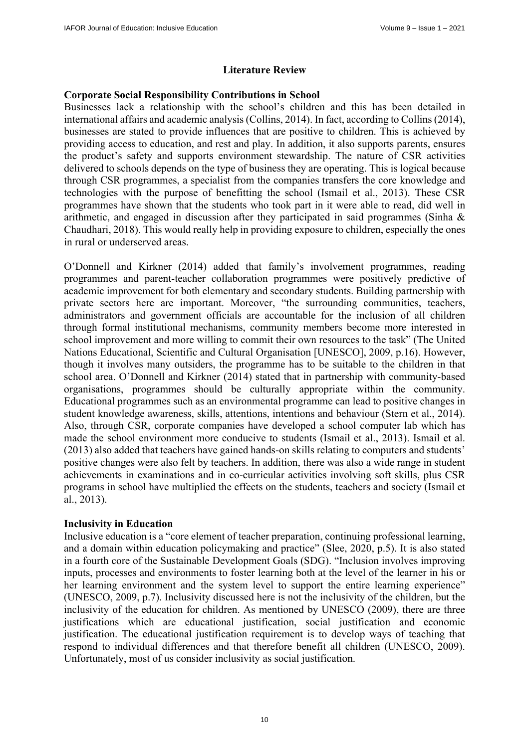# **Literature Review**

# **Corporate Social Responsibility Contributions in School**

Businesses lack a relationship with the school's children and this has been detailed in international affairs and academic analysis (Collins, 2014). In fact, according to Collins (2014), businesses are stated to provide influences that are positive to children. This is achieved by providing access to education, and rest and play. In addition, it also supports parents, ensures the product's safety and supports environment stewardship. The nature of CSR activities delivered to schools depends on the type of business they are operating. This is logical because through CSR programmes, a specialist from the companies transfers the core knowledge and technologies with the purpose of benefitting the school (Ismail et al., 2013). These CSR programmes have shown that the students who took part in it were able to read, did well in arithmetic, and engaged in discussion after they participated in said programmes (Sinha & Chaudhari, 2018). This would really help in providing exposure to children, especially the ones in rural or underserved areas.

O'Donnell and Kirkner (2014) added that family's involvement programmes, reading programmes and parent-teacher collaboration programmes were positively predictive of academic improvement for both elementary and secondary students. Building partnership with private sectors here are important. Moreover, "the surrounding communities, teachers, administrators and government officials are accountable for the inclusion of all children through formal institutional mechanisms, community members become more interested in school improvement and more willing to commit their own resources to the task" (The United Nations Educational, Scientific and Cultural Organisation [UNESCO], 2009, p.16). However, though it involves many outsiders, the programme has to be suitable to the children in that school area. O'Donnell and Kirkner (2014) stated that in partnership with community-based organisations, programmes should be culturally appropriate within the community. Educational programmes such as an environmental programme can lead to positive changes in student knowledge awareness, skills, attentions, intentions and behaviour (Stern et al., 2014). Also, through CSR, corporate companies have developed a school computer lab which has made the school environment more conducive to students (Ismail et al., 2013). Ismail et al. (2013) also added that teachers have gained hands-on skills relating to computers and students' positive changes were also felt by teachers. In addition, there was also a wide range in student achievements in examinations and in co-curricular activities involving soft skills, plus CSR programs in school have multiplied the effects on the students, teachers and society (Ismail et al., 2013).

# **Inclusivity in Education**

Inclusive education is a "core element of teacher preparation, continuing professional learning, and a domain within education policymaking and practice" (Slee, 2020, p.5). It is also stated in a fourth core of the Sustainable Development Goals (SDG). "Inclusion involves improving inputs, processes and environments to foster learning both at the level of the learner in his or her learning environment and the system level to support the entire learning experience" (UNESCO, 2009, p.7). Inclusivity discussed here is not the inclusivity of the children, but the inclusivity of the education for children. As mentioned by UNESCO (2009), there are three justifications which are educational justification, social justification and economic justification. The educational justification requirement is to develop ways of teaching that respond to individual differences and that therefore benefit all children (UNESCO, 2009). Unfortunately, most of us consider inclusivity as social justification.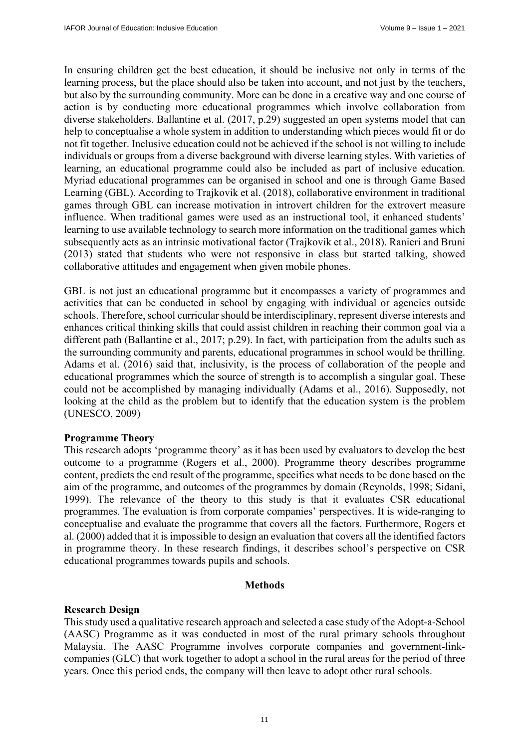In ensuring children get the best education, it should be inclusive not only in terms of the learning process, but the place should also be taken into account, and not just by the teachers, but also by the surrounding community. More can be done in a creative way and one course of action is by conducting more educational programmes which involve collaboration from diverse stakeholders. Ballantine et al. (2017, p.29) suggested an open systems model that can help to conceptualise a whole system in addition to understanding which pieces would fit or do not fit together. Inclusive education could not be achieved if the school is not willing to include individuals or groups from a diverse background with diverse learning styles. With varieties of learning, an educational programme could also be included as part of inclusive education. Myriad educational programmes can be organised in school and one is through Game Based Learning (GBL). According to Trajkovik et al. (2018), collaborative environment in traditional games through GBL can increase motivation in introvert children for the extrovert measure influence. When traditional games were used as an instructional tool, it enhanced students' learning to use available technology to search more information on the traditional games which subsequently acts as an intrinsic motivational factor (Trajkovik et al., 2018). Ranieri and Bruni (2013) stated that students who were not responsive in class but started talking, showed collaborative attitudes and engagement when given mobile phones.

GBL is not just an educational programme but it encompasses a variety of programmes and activities that can be conducted in school by engaging with individual or agencies outside schools. Therefore, school curricular should be interdisciplinary, represent diverse interests and enhances critical thinking skills that could assist children in reaching their common goal via a different path (Ballantine et al., 2017; p.29). In fact, with participation from the adults such as the surrounding community and parents, educational programmes in school would be thrilling. Adams et al. (2016) said that, inclusivity, is the process of collaboration of the people and educational programmes which the source of strength is to accomplish a singular goal. These could not be accomplished by managing individually (Adams et al., 2016). Supposedly, not looking at the child as the problem but to identify that the education system is the problem (UNESCO, 2009)

# **Programme Theory**

This research adopts 'programme theory' as it has been used by evaluators to develop the best outcome to a programme (Rogers et al., 2000). Programme theory describes programme content, predicts the end result of the programme, specifies what needs to be done based on the aim of the programme, and outcomes of the programmes by domain (Reynolds, 1998; Sidani, 1999). The relevance of the theory to this study is that it evaluates CSR educational programmes. The evaluation is from corporate companies' perspectives. It is wide-ranging to conceptualise and evaluate the programme that covers all the factors. Furthermore, Rogers et al. (2000) added that it is impossible to design an evaluation that covers all the identified factors in programme theory. In these research findings, it describes school's perspective on CSR educational programmes towards pupils and schools.

# **Methods**

# **Research Design**

This study used a qualitative research approach and selected a case study of the Adopt-a-School (AASC) Programme as it was conducted in most of the rural primary schools throughout Malaysia. The AASC Programme involves corporate companies and government-linkcompanies (GLC) that work together to adopt a school in the rural areas for the period of three years. Once this period ends, the company will then leave to adopt other rural schools.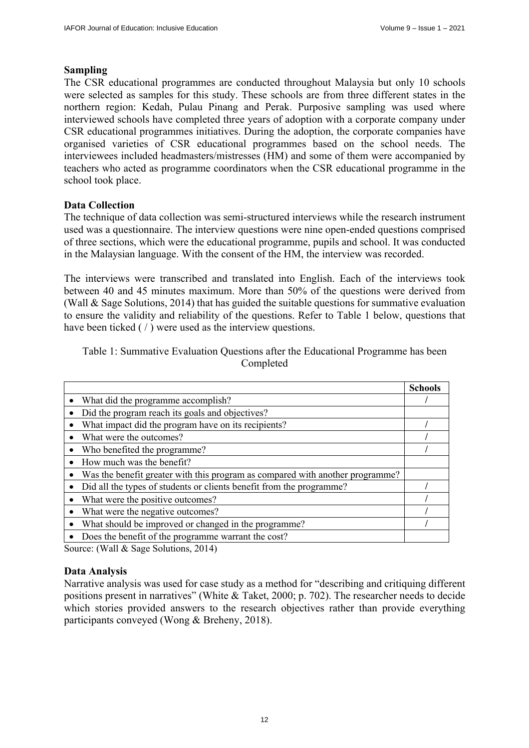# **Sampling**

The CSR educational programmes are conducted throughout Malaysia but only 10 schools were selected as samples for this study. These schools are from three different states in the northern region: Kedah, Pulau Pinang and Perak. Purposive sampling was used where interviewed schools have completed three years of adoption with a corporate company under CSR educational programmes initiatives. During the adoption, the corporate companies have organised varieties of CSR educational programmes based on the school needs. The interviewees included headmasters/mistresses (HM) and some of them were accompanied by teachers who acted as programme coordinators when the CSR educational programme in the school took place.

# **Data Collection**

The technique of data collection was semi-structured interviews while the research instrument used was a questionnaire. The interview questions were nine open-ended questions comprised of three sections, which were the educational programme, pupils and school. It was conducted in the Malaysian language. With the consent of the HM, the interview was recorded.

The interviews were transcribed and translated into English. Each of the interviews took between 40 and 45 minutes maximum. More than 50% of the questions were derived from (Wall & Sage Solutions, 2014) that has guided the suitable questions for summative evaluation to ensure the validity and reliability of the questions. Refer to Table 1 below, questions that have been ticked ( / ) were used as the interview questions.

Table 1: Summative Evaluation Questions after the Educational Programme has been Completed

|                                                                               | <b>Schools</b> |
|-------------------------------------------------------------------------------|----------------|
| What did the programme accomplish?                                            |                |
| Did the program reach its goals and objectives?                               |                |
| What impact did the program have on its recipients?                           |                |
| What were the outcomes?                                                       |                |
| Who benefited the programme?                                                  |                |
| How much was the benefit?                                                     |                |
| Was the benefit greater with this program as compared with another programme? |                |
| Did all the types of students or clients benefit from the programme?          |                |
| What were the positive outcomes?                                              |                |
| What were the negative outcomes?                                              |                |
| What should be improved or changed in the programme?                          |                |
| Does the benefit of the programme warrant the cost?                           |                |

Source: (Wall & Sage Solutions, 2014)

# **Data Analysis**

Narrative analysis was used for case study as a method for "describing and critiquing different positions present in narratives" (White & Taket, 2000; p. 702). The researcher needs to decide which stories provided answers to the research objectives rather than provide everything participants conveyed (Wong & Breheny, 2018).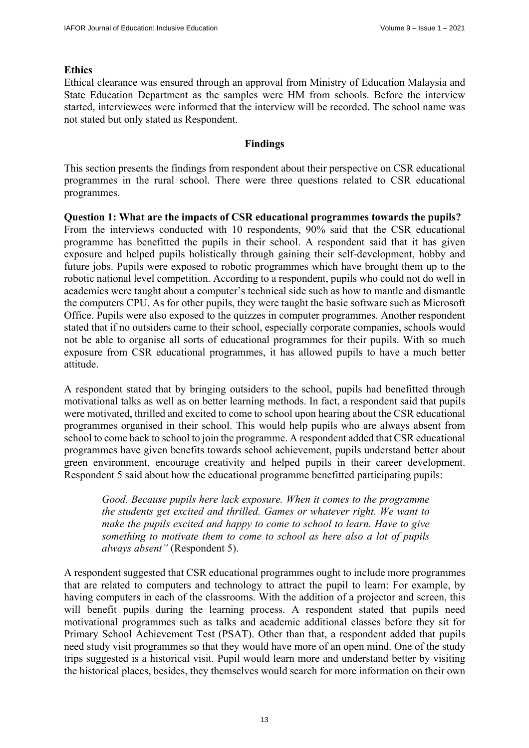# **Ethics**

Ethical clearance was ensured through an approval from Ministry of Education Malaysia and State Education Department as the samples were HM from schools. Before the interview started, interviewees were informed that the interview will be recorded. The school name was not stated but only stated as Respondent.

# **Findings**

This section presents the findings from respondent about their perspective on CSR educational programmes in the rural school. There were three questions related to CSR educational programmes.

**Question 1: What are the impacts of CSR educational programmes towards the pupils?**  From the interviews conducted with 10 respondents, 90% said that the CSR educational programme has benefitted the pupils in their school. A respondent said that it has given exposure and helped pupils holistically through gaining their self-development, hobby and future jobs. Pupils were exposed to robotic programmes which have brought them up to the robotic national level competition. According to a respondent, pupils who could not do well in academics were taught about a computer's technical side such as how to mantle and dismantle the computers CPU. As for other pupils, they were taught the basic software such as Microsoft Office. Pupils were also exposed to the quizzes in computer programmes. Another respondent stated that if no outsiders came to their school, especially corporate companies, schools would not be able to organise all sorts of educational programmes for their pupils. With so much exposure from CSR educational programmes, it has allowed pupils to have a much better attitude.

A respondent stated that by bringing outsiders to the school, pupils had benefitted through motivational talks as well as on better learning methods. In fact, a respondent said that pupils were motivated, thrilled and excited to come to school upon hearing about the CSR educational programmes organised in their school. This would help pupils who are always absent from school to come back to school to join the programme. A respondent added that CSR educational programmes have given benefits towards school achievement, pupils understand better about green environment, encourage creativity and helped pupils in their career development. Respondent 5 said about how the educational programme benefitted participating pupils:

*Good. Because pupils here lack exposure. When it comes to the programme the students get excited and thrilled. Games or whatever right. We want to make the pupils excited and happy to come to school to learn. Have to give something to motivate them to come to school as here also a lot of pupils always absent"* (Respondent 5).

A respondent suggested that CSR educational programmes ought to include more programmes that are related to computers and technology to attract the pupil to learn: For example, by having computers in each of the classrooms. With the addition of a projector and screen, this will benefit pupils during the learning process. A respondent stated that pupils need motivational programmes such as talks and academic additional classes before they sit for Primary School Achievement Test (PSAT). Other than that, a respondent added that pupils need study visit programmes so that they would have more of an open mind. One of the study trips suggested is a historical visit. Pupil would learn more and understand better by visiting the historical places, besides, they themselves would search for more information on their own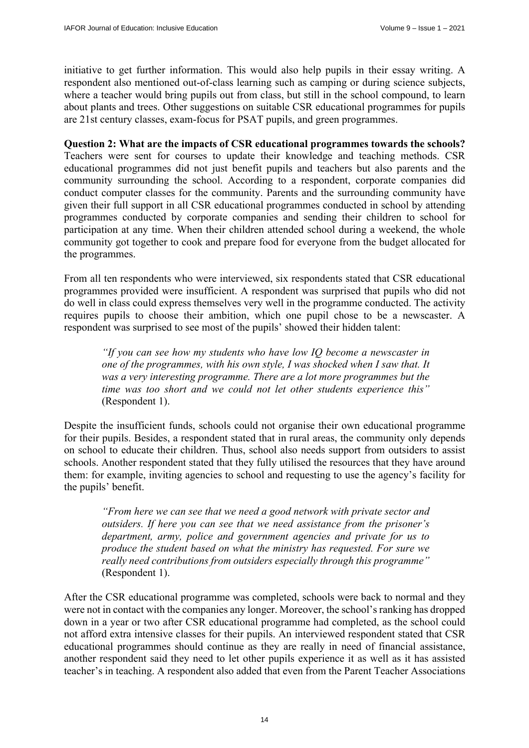initiative to get further information. This would also help pupils in their essay writing. A respondent also mentioned out-of-class learning such as camping or during science subjects, where a teacher would bring pupils out from class, but still in the school compound, to learn about plants and trees. Other suggestions on suitable CSR educational programmes for pupils are 21st century classes, exam-focus for PSAT pupils, and green programmes.

**Question 2: What are the impacts of CSR educational programmes towards the schools?**  Teachers were sent for courses to update their knowledge and teaching methods. CSR educational programmes did not just benefit pupils and teachers but also parents and the community surrounding the school. According to a respondent, corporate companies did conduct computer classes for the community. Parents and the surrounding community have given their full support in all CSR educational programmes conducted in school by attending programmes conducted by corporate companies and sending their children to school for participation at any time. When their children attended school during a weekend, the whole community got together to cook and prepare food for everyone from the budget allocated for the programmes.

From all ten respondents who were interviewed, six respondents stated that CSR educational programmes provided were insufficient. A respondent was surprised that pupils who did not do well in class could express themselves very well in the programme conducted. The activity requires pupils to choose their ambition, which one pupil chose to be a newscaster. A respondent was surprised to see most of the pupils' showed their hidden talent:

*"If you can see how my students who have low IQ become a newscaster in one of the programmes, with his own style, I was shocked when I saw that. It was a very interesting programme. There are a lot more programmes but the time was too short and we could not let other students experience this"*  (Respondent 1).

Despite the insufficient funds, schools could not organise their own educational programme for their pupils. Besides, a respondent stated that in rural areas, the community only depends on school to educate their children. Thus, school also needs support from outsiders to assist schools. Another respondent stated that they fully utilised the resources that they have around them: for example, inviting agencies to school and requesting to use the agency's facility for the pupils' benefit.

*"From here we can see that we need a good network with private sector and outsiders. If here you can see that we need assistance from the prisoner's department, army, police and government agencies and private for us to produce the student based on what the ministry has requested. For sure we really need contributions from outsiders especially through this programme"*  (Respondent 1).

After the CSR educational programme was completed, schools were back to normal and they were not in contact with the companies any longer. Moreover, the school's ranking has dropped down in a year or two after CSR educational programme had completed, as the school could not afford extra intensive classes for their pupils. An interviewed respondent stated that CSR educational programmes should continue as they are really in need of financial assistance, another respondent said they need to let other pupils experience it as well as it has assisted teacher's in teaching. A respondent also added that even from the Parent Teacher Associations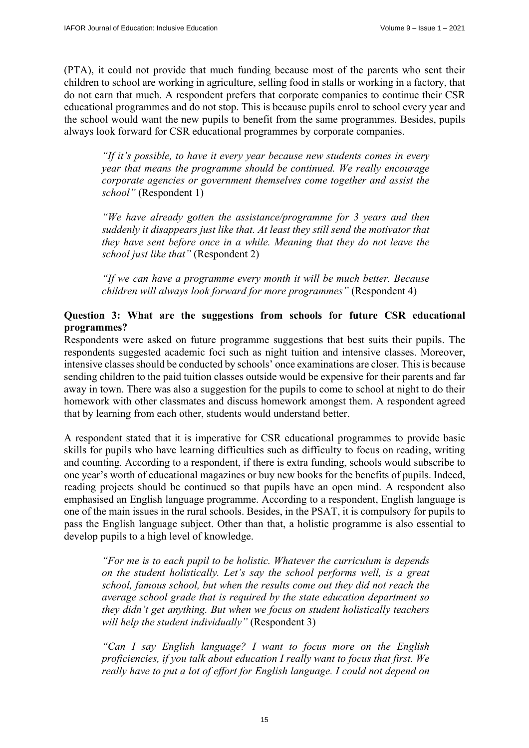(PTA), it could not provide that much funding because most of the parents who sent their children to school are working in agriculture, selling food in stalls or working in a factory, that do not earn that much. A respondent prefers that corporate companies to continue their CSR educational programmes and do not stop. This is because pupils enrol to school every year and the school would want the new pupils to benefit from the same programmes. Besides, pupils always look forward for CSR educational programmes by corporate companies.

*"If it's possible, to have it every year because new students comes in every year that means the programme should be continued. We really encourage corporate agencies or government themselves come together and assist the school"* (Respondent 1)

*"We have already gotten the assistance/programme for 3 years and then suddenly it disappears just like that. At least they still send the motivator that they have sent before once in a while. Meaning that they do not leave the school just like that"* (Respondent 2)

*"If we can have a programme every month it will be much better. Because children will always look forward for more programmes"* (Respondent 4)

# **Question 3: What are the suggestions from schools for future CSR educational programmes?**

Respondents were asked on future programme suggestions that best suits their pupils. The respondents suggested academic foci such as night tuition and intensive classes. Moreover, intensive classes should be conducted by schools' once examinations are closer. This is because sending children to the paid tuition classes outside would be expensive for their parents and far away in town. There was also a suggestion for the pupils to come to school at night to do their homework with other classmates and discuss homework amongst them. A respondent agreed that by learning from each other, students would understand better.

A respondent stated that it is imperative for CSR educational programmes to provide basic skills for pupils who have learning difficulties such as difficulty to focus on reading, writing and counting*.* According to a respondent, if there is extra funding, schools would subscribe to one year's worth of educational magazines or buy new books for the benefits of pupils. Indeed, reading projects should be continued so that pupils have an open mind. A respondent also emphasised an English language programme. According to a respondent, English language is one of the main issues in the rural schools. Besides, in the PSAT, it is compulsory for pupils to pass the English language subject. Other than that, a holistic programme is also essential to develop pupils to a high level of knowledge.

*"For me is to each pupil to be holistic. Whatever the curriculum is depends on the student holistically. Let's say the school performs well, is a great school, famous school, but when the results come out they did not reach the average school grade that is required by the state education department so they didn't get anything. But when we focus on student holistically teachers will help the student individually"* (Respondent 3)

*"Can I say English language? I want to focus more on the English proficiencies, if you talk about education I really want to focus that first. We really have to put a lot of effort for English language. I could not depend on*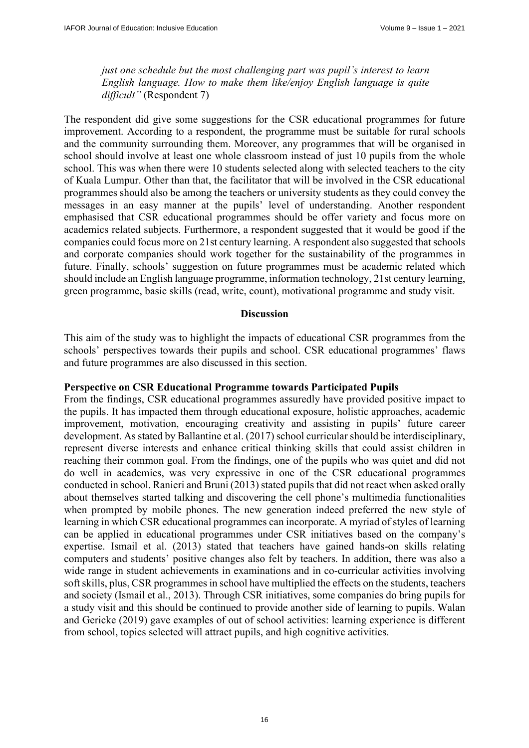*just one schedule but the most challenging part was pupil's interest to learn English language. How to make them like/enjoy English language is quite difficult"* (Respondent 7)

The respondent did give some suggestions for the CSR educational programmes for future improvement. According to a respondent, the programme must be suitable for rural schools and the community surrounding them. Moreover, any programmes that will be organised in school should involve at least one whole classroom instead of just 10 pupils from the whole school. This was when there were 10 students selected along with selected teachers to the city of Kuala Lumpur. Other than that, the facilitator that will be involved in the CSR educational programmes should also be among the teachers or university students as they could convey the messages in an easy manner at the pupils' level of understanding. Another respondent emphasised that CSR educational programmes should be offer variety and focus more on academics related subjects. Furthermore, a respondent suggested that it would be good if the companies could focus more on 21st century learning. A respondent also suggested that schools and corporate companies should work together for the sustainability of the programmes in future. Finally, schools' suggestion on future programmes must be academic related which should include an English language programme, information technology, 21st century learning, green programme, basic skills (read, write, count), motivational programme and study visit.

#### **Discussion**

This aim of the study was to highlight the impacts of educational CSR programmes from the schools' perspectives towards their pupils and school. CSR educational programmes' flaws and future programmes are also discussed in this section.

# **Perspective on CSR Educational Programme towards Participated Pupils**

From the findings, CSR educational programmes assuredly have provided positive impact to the pupils. It has impacted them through educational exposure, holistic approaches, academic improvement, motivation, encouraging creativity and assisting in pupils' future career development. As stated by Ballantine et al. (2017) school curricular should be interdisciplinary, represent diverse interests and enhance critical thinking skills that could assist children in reaching their common goal. From the findings, one of the pupils who was quiet and did not do well in academics, was very expressive in one of the CSR educational programmes conducted in school. Ranieri and Bruni (2013) stated pupils that did not react when asked orally about themselves started talking and discovering the cell phone's multimedia functionalities when prompted by mobile phones. The new generation indeed preferred the new style of learning in which CSR educational programmes can incorporate. A myriad of styles of learning can be applied in educational programmes under CSR initiatives based on the company's expertise. Ismail et al. (2013) stated that teachers have gained hands-on skills relating computers and students' positive changes also felt by teachers. In addition, there was also a wide range in student achievements in examinations and in co-curricular activities involving soft skills, plus, CSR programmes in school have multiplied the effects on the students, teachers and society (Ismail et al., 2013). Through CSR initiatives, some companies do bring pupils for a study visit and this should be continued to provide another side of learning to pupils. Walan and Gericke (2019) gave examples of out of school activities: learning experience is different from school, topics selected will attract pupils, and high cognitive activities.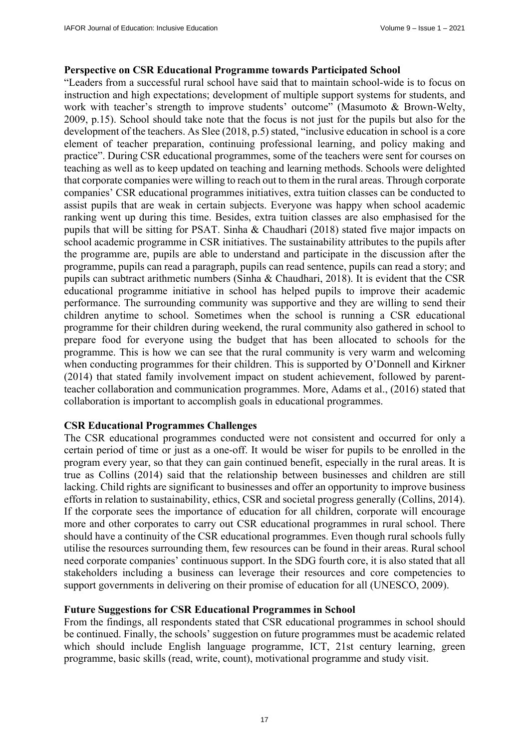# **Perspective on CSR Educational Programme towards Participated School**

"Leaders from a successful rural school have said that to maintain school-wide is to focus on instruction and high expectations; development of multiple support systems for students, and work with teacher's strength to improve students' outcome" (Masumoto & Brown-Welty, 2009, p.15). School should take note that the focus is not just for the pupils but also for the development of the teachers. As Slee (2018, p.5) stated, "inclusive education in school is a core element of teacher preparation, continuing professional learning, and policy making and practice". During CSR educational programmes, some of the teachers were sent for courses on teaching as well as to keep updated on teaching and learning methods. Schools were delighted that corporate companies were willing to reach out to them in the rural areas. Through corporate companies' CSR educational programmes initiatives, extra tuition classes can be conducted to assist pupils that are weak in certain subjects. Everyone was happy when school academic ranking went up during this time. Besides, extra tuition classes are also emphasised for the pupils that will be sitting for PSAT. Sinha & Chaudhari (2018) stated five major impacts on school academic programme in CSR initiatives. The sustainability attributes to the pupils after the programme are, pupils are able to understand and participate in the discussion after the programme, pupils can read a paragraph, pupils can read sentence, pupils can read a story; and pupils can subtract arithmetic numbers (Sinha & Chaudhari, 2018). It is evident that the CSR educational programme initiative in school has helped pupils to improve their academic performance. The surrounding community was supportive and they are willing to send their children anytime to school. Sometimes when the school is running a CSR educational programme for their children during weekend, the rural community also gathered in school to prepare food for everyone using the budget that has been allocated to schools for the programme. This is how we can see that the rural community is very warm and welcoming when conducting programmes for their children. This is supported by O'Donnell and Kirkner (2014) that stated family involvement impact on student achievement, followed by parentteacher collaboration and communication programmes. More, Adams et al., (2016) stated that collaboration is important to accomplish goals in educational programmes.

# **CSR Educational Programmes Challenges**

The CSR educational programmes conducted were not consistent and occurred for only a certain period of time or just as a one-off. It would be wiser for pupils to be enrolled in the program every year, so that they can gain continued benefit, especially in the rural areas. It is true as Collins (2014) said that the relationship between businesses and children are still lacking. Child rights are significant to businesses and offer an opportunity to improve business efforts in relation to sustainability, ethics, CSR and societal progress generally (Collins, 2014). If the corporate sees the importance of education for all children, corporate will encourage more and other corporates to carry out CSR educational programmes in rural school. There should have a continuity of the CSR educational programmes. Even though rural schools fully utilise the resources surrounding them, few resources can be found in their areas. Rural school need corporate companies' continuous support. In the SDG fourth core, it is also stated that all stakeholders including a business can leverage their resources and core competencies to support governments in delivering on their promise of education for all (UNESCO, 2009).

# **Future Suggestions for CSR Educational Programmes in School**

From the findings, all respondents stated that CSR educational programmes in school should be continued. Finally, the schools' suggestion on future programmes must be academic related which should include English language programme, ICT, 21st century learning, green programme, basic skills (read, write, count), motivational programme and study visit.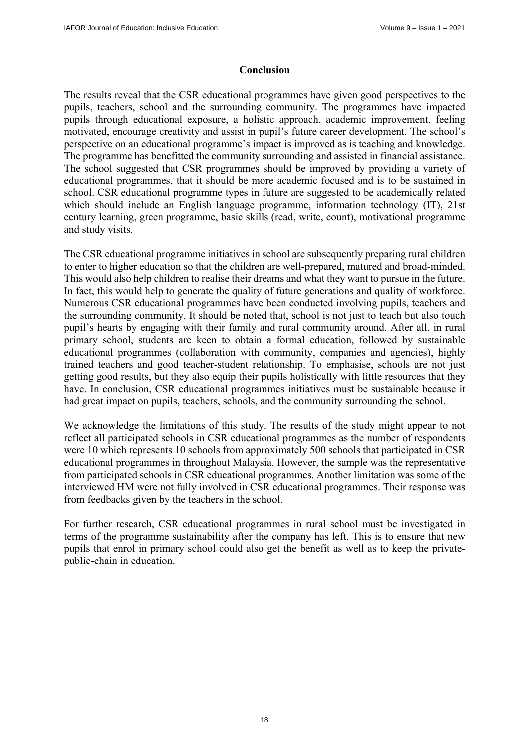# **Conclusion**

The results reveal that the CSR educational programmes have given good perspectives to the pupils, teachers, school and the surrounding community. The programmes have impacted pupils through educational exposure, a holistic approach, academic improvement, feeling motivated, encourage creativity and assist in pupil's future career development. The school's perspective on an educational programme's impact is improved as is teaching and knowledge. The programme has benefitted the community surrounding and assisted in financial assistance. The school suggested that CSR programmes should be improved by providing a variety of educational programmes, that it should be more academic focused and is to be sustained in school. CSR educational programme types in future are suggested to be academically related which should include an English language programme, information technology (IT), 21st century learning, green programme, basic skills (read, write, count), motivational programme and study visits.

The CSR educational programme initiatives in school are subsequently preparing rural children to enter to higher education so that the children are well-prepared, matured and broad-minded. This would also help children to realise their dreams and what they want to pursue in the future. In fact, this would help to generate the quality of future generations and quality of workforce. Numerous CSR educational programmes have been conducted involving pupils, teachers and the surrounding community. It should be noted that, school is not just to teach but also touch pupil's hearts by engaging with their family and rural community around. After all, in rural primary school, students are keen to obtain a formal education, followed by sustainable educational programmes (collaboration with community, companies and agencies), highly trained teachers and good teacher-student relationship. To emphasise, schools are not just getting good results, but they also equip their pupils holistically with little resources that they have. In conclusion, CSR educational programmes initiatives must be sustainable because it had great impact on pupils, teachers, schools, and the community surrounding the school.

We acknowledge the limitations of this study. The results of the study might appear to not reflect all participated schools in CSR educational programmes as the number of respondents were 10 which represents 10 schools from approximately 500 schools that participated in CSR educational programmes in throughout Malaysia. However, the sample was the representative from participated schools in CSR educational programmes. Another limitation was some of the interviewed HM were not fully involved in CSR educational programmes. Their response was from feedbacks given by the teachers in the school.

For further research, CSR educational programmes in rural school must be investigated in terms of the programme sustainability after the company has left. This is to ensure that new pupils that enrol in primary school could also get the benefit as well as to keep the privatepublic-chain in education.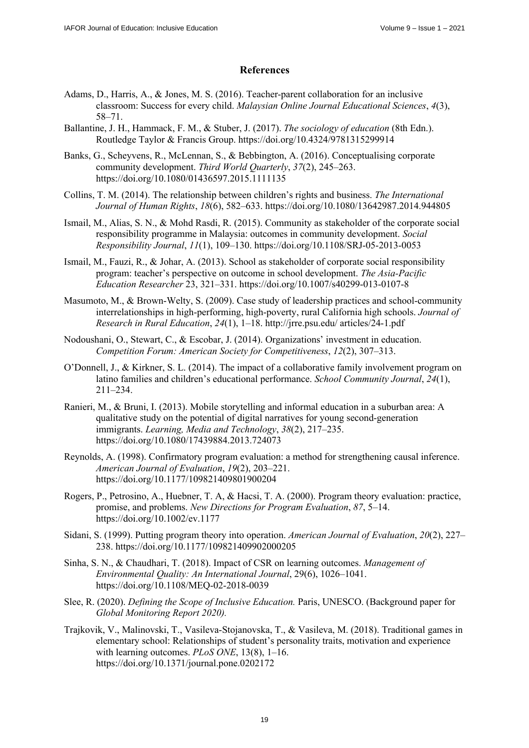#### **References**

- Adams, D., Harris, A., & Jones, M. S. (2016). Teacher-parent collaboration for an inclusive classroom: Success for every child. *Malaysian Online Journal Educational Sciences*, *4*(3), 58–71.
- Ballantine, J. H., Hammack, F. M., & Stuber, J. (2017). *The sociology of education* (8th Edn.). Routledge Taylor & Francis Group. <https://doi.org/10.4324/9781315299914>
- Banks, G., Scheyvens, R., McLennan, S., & Bebbington, A. (2016). Conceptualising corporate community development. *Third World Quarterly*, *37*(2), 245–263. <https://doi.org/10.1080/01436597.2015.1111135>
- Collins, T. M. (2014). The relationship between children's rights and business. *The International Journal of Human Rights*, *18*(6), 582–633.<https://doi.org/10.1080/13642987.2014.944805>
- Ismail, M., Alias, S. N., & Mohd Rasdi, R. (2015). Community as stakeholder of the corporate social responsibility programme in Malaysia: outcomes in community development. *Social Responsibility Journal*, *11*(1), 109–130.<https://doi.org/10.1108/SRJ-05-2013-0053>
- Ismail, M., Fauzi, R., & Johar, A. (2013). School as stakeholder of corporate social responsibility program: teacher's perspective on outcome in school development. *The Asia-Pacific Education Researcher* 23, 321–331.<https://doi.org/10.1007/s40299-013-0107-8>
- Masumoto, M., & Brown-Welty, S. (2009). Case study of leadership practices and school-community interrelationships in high-performing, high-poverty, rural California high schools. *Journal of Research in Rural Education*, *24*(1), 1–18. [http://jrre.psu.edu/ art](http://jrre.psu.edu/)icles/24-1.pdf
- Nodoushani, O., Stewart, C., & Escobar, J. (2014). Organizations' investment in education. *Competition Forum: American Society for Competitiveness*, *12*(2), 307–313.
- O'Donnell, J., & Kirkner, S. L. (2014). The impact of a collaborative family involvement program on latino families and children's educational performance. *School Community Journal*, *24*(1), 211–234.
- Ranieri, M., & Bruni, I. (2013). Mobile storytelling and informal education in a suburban area: A qualitative study on the potential of digital narratives for young second-generation immigrants. *Learning, Media and Technology*, *38*(2), 217–235. <https://doi.org/10.1080/17439884.2013.724073>
- Reynolds, A. (1998). Confirmatory program evaluation: a method for strengthening causal inference. *American Journal of Evaluation*, *19*(2), 203–221. <https://doi.org/10.1177/109821409801900204>
- Rogers, P., Petrosino, A., Huebner, T. A, & Hacsi, T. A. (2000). Program theory evaluation: practice, promise, and problems. *New Directions for Program Evaluation*, *87*, 5–14. <https://doi.org/10.1002/ev.1177>
- Sidani, S. (1999). Putting program theory into operation. *American Journal of Evaluation*, *20*(2), 227– 238.<https://doi.org/10.1177/109821409902000205>
- Sinha, S. N., & Chaudhari, T. (2018). Impact of CSR on learning outcomes. *Management of Environmental Quality: An International Journal*, 29(6), 1026–1041. <https://doi.org/10.1108/MEQ-02-2018-0039>
- Slee, R. (2020). *Defining the Scope of Inclusive Education.* Paris, UNESCO. (Background paper for *Global Monitoring Report 2020).*
- Trajkovik, V., Malinovski, T., Vasileva-Stojanovska, T., & Vasileva, M. (2018). Traditional games in elementary school: Relationships of student's personality traits, motivation and experience with learning outcomes. *PLoS ONE*, 13(8), 1–16. <https://doi.org/10.1371/journal.pone.0202172>